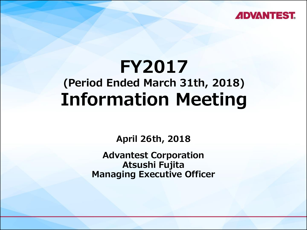

# **FY2017 (Period Ended March 31th, 2018) Information Meeting**

**April 26th, 2018**

**Advantest Corporation Atsushi Fujita Managing Executive Officer**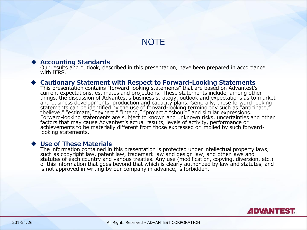#### **NOTE**

#### **Accounting Standards**

Our results and outlook, described in this presentation, have been prepared in accordance with IFRS.

#### **Cautionary Statement with Respect to Forward-Looking Statements**

This presentation contains "forward-looking statements" that are based on Advantest's current expectations, estimates and projections. These statements include, among other things, the discussion of Advantest's business strategy, outlook and expectations as to market and business developments, production and capacity plans. Generally, these forward-looking statements can be identified by the use of forward-looking terminology such as "anticipate," "believe," "estimate," "expect," "intend," "project," "should" and similar expressions. Forward-looking statements are subject to known and unknown risks, uncertainties and other factors that may cause Advantest's actual results, levels of activity, performance or achievements to be materially different from those expressed or implied by such forwardlooking statements.

#### **Use of These Materials**

The information contained in this presentation is protected under intellectual property laws, such as copyright law, patent law, trademark law and design law, and other laws and statutes of each country and various treaties. Any use (modification, copying, diversion, etc.) of this information that goes beyond that which is clearly authorized by law and statutes, and is not approved in writing by our company in advance, is forbidden.

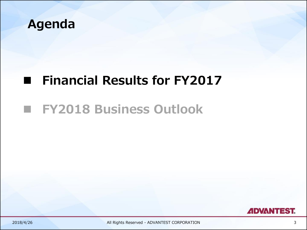

## **Financial Results for FY2017**

### **FY2018 Business Outlook**

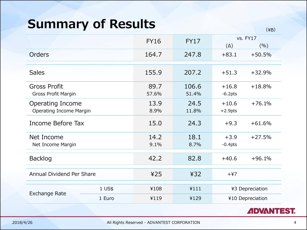### **Summary of Results**

|                                                           |          | <b>FY16</b>   | <b>FY17</b>    | $(\Delta)$            | vs. FY17<br>(%) |
|-----------------------------------------------------------|----------|---------------|----------------|-----------------------|-----------------|
| <b>Orders</b>                                             |          | 164.7         | 247.8          | $+83.1$               | $+50.5%$        |
| <b>Sales</b>                                              |          | 155.9         | 207.2          | $+51.3$               | $+32.9%$        |
| <b>Gross Profit</b><br><b>Gross Profit Margin</b>         |          | 89.7<br>57.6% | 106.6<br>51.4% | $+16.8$<br>$-6.2pts$  | $+18.8%$        |
| <b>Operating Income</b><br><b>Operating Income Margin</b> |          | 13.9<br>8.9%  | 24.5<br>11.8%  | $+10.6$<br>$+2.9$ pts | $+76.1%$        |
| Income Before Tax                                         |          | 15.0          | 24.3           | $+9.3$                | $+61.6%$        |
| Net Income<br>Net Income Margin                           |          | 14.2<br>9.1%  | 18.1<br>8.7%   | $+3.9$<br>$-0.4$ pts  | $+27.5%$        |
| <b>Backlog</b>                                            |          | 42.2          | 82.8           | $+40.6$               | $+96.1%$        |
| Annual Dividend Per Share                                 |          | 425           | 432            | $+47$                 |                 |
| <b>Exchange Rate</b>                                      | $1$ US\$ | ¥108          | ¥111           |                       | ¥3 Depreciation |
|                                                           | 1 Euro   | ¥119          | ¥129           | ¥10 Depreciation      |                 |
|                                                           |          |               |                |                       |                 |



(¥B)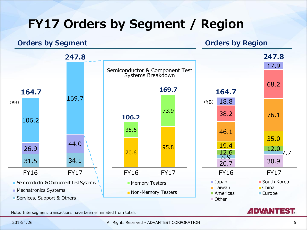# **FY17 Orders by Segment / Region**

#### **Orders by Segment Constanting Constanting Constanting Constanting Constanting Constanting Constanting Constanting Constanting Constanting Constanting Constanting Constanting Constanting Constanting Constanting Constanti**



Note: Intersegment transactions have been eliminated from totals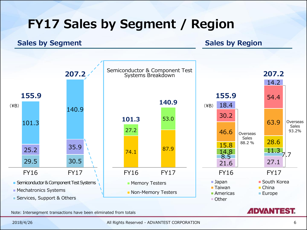# **FY17 Sales by Segment / Region**

#### **Sales by Segment Sales by Region**



Note: Intersegment transactions have been eliminated from totals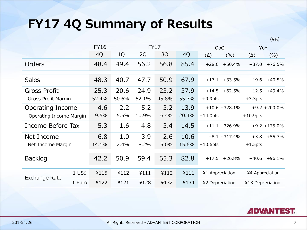## **FY17 4Q Summary of Results**

|                         |          | <b>FY16</b> |       | <b>FY17</b> |       |       | QoQ              |          | YoY         |                  |
|-------------------------|----------|-------------|-------|-------------|-------|-------|------------------|----------|-------------|------------------|
|                         |          | 4Q          | 1Q    | 2Q          | 3Q    | 4Q    | $(\Delta)$       | (%)      | $(\Delta)$  | (%)              |
| Orders                  |          | 48.4        | 49.4  | 56.2        | 56.8  | 85.4  | $+28.6$          | $+50.4%$ | $+37.0$     | $+76.5%$         |
| <b>Sales</b>            |          | 48.3        | 40.7  | 47.7        | 50.9  | 67.9  | $+17.1$          | $+33.5%$ | $+19.6$     | $+40.5%$         |
| Gross Profit            |          | 25.3        | 20.6  | 24.9        | 23.2  | 37.9  | $+14.5$          | $+62.5%$ | $+12.5$     | $+49.4%$         |
| Gross Profit Margin     |          | 52.4%       | 50.6% | 52.1%       | 45.8% | 55.7% | $+9.9$ pts       |          | $+3.3$ pts  |                  |
| <b>Operating Income</b> |          | 4.6         | 2.2   | 5.2         | 3.2   | 13.9  | $+10.6 + 328.1%$ |          |             | $+9.2 + 200.0\%$ |
| Operating Income Margin |          | 9.5%        | 5.5%  | 10.9%       | 6.4%  | 20.4% | $+14.0$ pts      |          | $+10.9$ pts |                  |
| Income Before Tax       |          | 5.3         | 1.6   | 4.8         | 3.4   | 14.5  | $+11.1 + 326.9%$ |          |             | $+9.2 + 175.0%$  |
| Net Income              |          | 6.8         | 1.0   | 3.9         | 2.6   | 10.6  | $+8.1 + 317.4%$  |          | $+3.8$      | $+55.7%$         |
| Net Income Margin       |          | 14.1%       | 2.4%  | 8.2%        | 5.0%  | 15.6% | $+10.6$ pts      |          | $+1.5$ pts  |                  |
| <b>Backlog</b>          |          | 42.2        | 50.9  | 59.4        | 65.3  | 82.8  | $+17.5$          | $+26.8%$ | $+40.6$     | $+96.1%$         |
| Exchange Rate           | $1$ US\$ | ¥115        | 4112  | 4111        | 4112  | 4111  | ¥1 Appreciation  |          |             | ¥4 Appreciation  |
|                         | 1 Euro   | 4122        | 4121  | ¥128        | ¥132  | ¥134  | ¥2 Depreciation  |          |             | ¥13 Depreciation |



 $(\yen B)$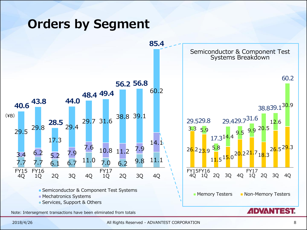### **Orders by Segment**



2018/4/26 All Rights Reserved - ADVANTEST CORPORATION 8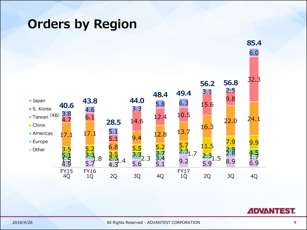#### **Orders by Region**



**ADVANTEST.**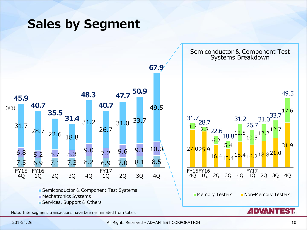#### **Sales by Segment**



2018/4/26 All Rights Reserved - ADVANTEST CORPORATION 10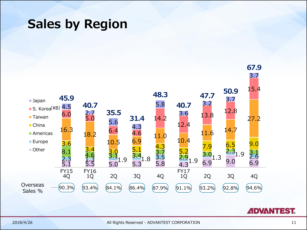#### **Sales by Region**



**ADVANTEST.**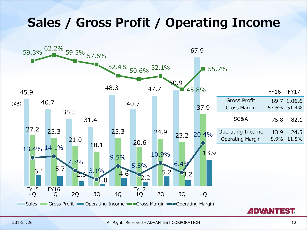#### **Sales / Gross Profit / Operating Income**

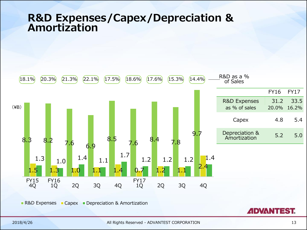#### **R&D Expenses/Capex/Depreciation & Amortization**



**R&D Expenses Capex Depreciation & Amortization** 

**ADVANTEST.**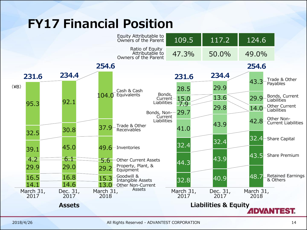# **FY17 Financial Position**

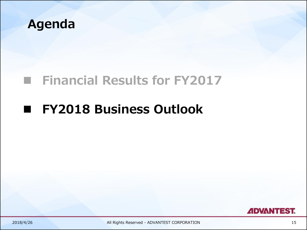

## **Financial Results for FY2017**

## **FY2018 Business Outlook**



2018/4/26 All Rights Reserved - ADVANTEST CORPORATION 15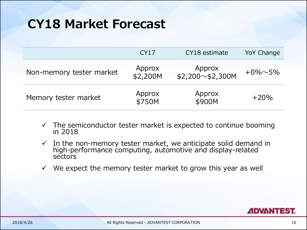#### **CY18 Market Forecast**

|                          | <b>CY17</b>        | CY18 estimate                    | YoY Change      |
|--------------------------|--------------------|----------------------------------|-----------------|
| Non-memory tester market | Approx<br>\$2,200M | Approx<br>$$2,200 \sim $2,300$ M | $+0\% \sim 5\%$ |
| Memory tester market     | Approx<br>\$750M   | Approx<br>\$900M                 | $+20%$          |

- $\checkmark$  The semiconductor tester market is expected to continue booming in 2018
- $\checkmark$  In the non-memory tester market, we anticipate solid demand in high-performance computing, automotive and display-related sectors
- $\checkmark$  We expect the memory tester market to grow this year as well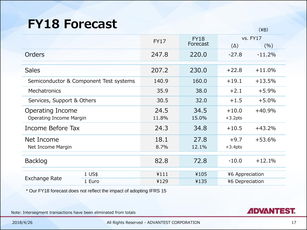#### **FY18 Forecast**

|                                                    |                                        |               |                         |                       | $($ $+$ $D$ $/$        |
|----------------------------------------------------|----------------------------------------|---------------|-------------------------|-----------------------|------------------------|
|                                                    |                                        | <b>FY17</b>   | <b>FY18</b><br>Forecast | $(\Delta)$            | <b>vs. FY17</b><br>(%) |
| Orders                                             |                                        | 247.8         | 220.0                   | $-27.8$               | $-11.2%$               |
| <b>Sales</b>                                       |                                        | 207.2         | 230.0                   | $+22.8$               | $+11.0%$               |
|                                                    | Semiconductor & Component Test systems | 140.9         | 160.0                   | $+19.1$               | $+13.5%$               |
| Mechatronics                                       |                                        | 35.9          | 38.0                    | $+2.1$                | $+5.9%$                |
| Services, Support & Others                         |                                        | 30.5          | 32.0                    | $+1.5$                | $+5.0%$                |
| Operating Income<br><b>Operating Income Margin</b> |                                        | 24.5<br>11.8% | 34.5<br>15.0%           | $+10.0$<br>$+3.2$ pts | $+40.9%$               |
| Income Before Tax                                  |                                        | 24.3          | 34.8                    | $+10.5$               | $+43.2%$               |
| Net Income<br>Net Income Margin                    |                                        | 18.1<br>8.7%  | 27.8<br>12.1%           | $+9.7$<br>$+3.4$ pts  | $+53.6%$               |
| <b>Backlog</b>                                     |                                        | 82.8          | 72.8                    | $-10.0$               | $+12.1%$               |
| <b>Exchange Rate</b>                               | 1 US\$                                 | 4111          | ¥105                    | ¥6 Appreciation       |                        |
|                                                    | 1 Euro                                 | ¥129          | ¥135                    | ¥6 Depreciation       |                        |

\* Our FY18 forecast does not reflect the impact of adopting IFRS 15

Note: Intersegment transactions have been eliminated from totals

 $(YD)$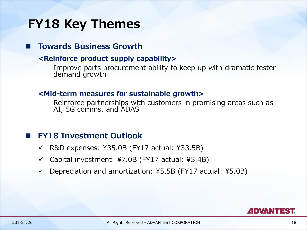### **FY18 Key Themes**

**Towards Business Growth**

#### **<Reinforce product supply capability>**

Improve parts procurement ability to keep up with dramatic tester demand growth

#### **<Mid-term measures for sustainable growth>**

Reinforce partnerships with customers in promising areas such as AI, 5G comms, and ADAS

#### **FY18 Investment Outlook**

- $\checkmark$  R&D expenses: ¥35.0B (FY17 actual: ¥33.5B)
- $\checkmark$  Capital investment: ¥7.0B (FY17 actual: ¥5.4B)
- Depreciation and amortization: ¥5.5B (FY17 actual: ¥5.0B)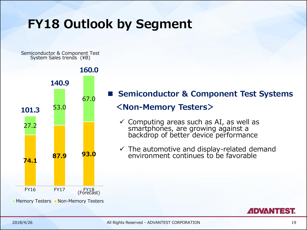## **FY18 Outlook by Segment**

Semiconductor & Component Test System Sales trends (¥B)



#### **Semiconductor & Component Test Systems <Non-Memory Testers>**

- $\checkmark$  Computing areas such as AI, as well as smartphones, are growing against a backdrop of better device performance
- $\checkmark$  The automotive and display-related demand environment continues to be favorable

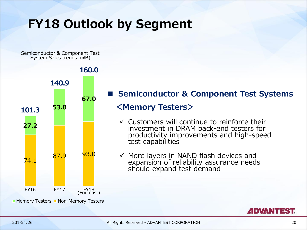## **FY18 Outlook by Segment**

Semiconductor & Component Test System Sales trends (¥B)



#### **Semiconductor & Component Test Systems**

#### **<Memory Testers>**

- $\checkmark$  Customers will continue to reinforce their investment in DRAM back-end testers for productivity improvements and high-speed test capabilities
- ✓ More layers in NAND flash devices and expansion of reliability assurance needs should expand test demand

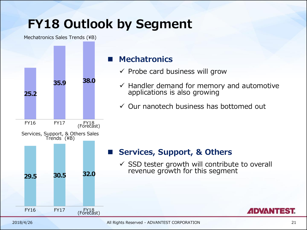# **FY18 Outlook by Segment**

Mechatronics Sales Trends (¥B)



#### **Mechatronics**

- $\checkmark$  Probe card business will grow
- $\checkmark$  Handler demand for memory and automotive applications is also growing
- ✓ Our nanotech business has bottomed out

#### **Services, Support, & Others**

 $\checkmark$  SSD tester growth will contribute to overall revenue growth for this segment